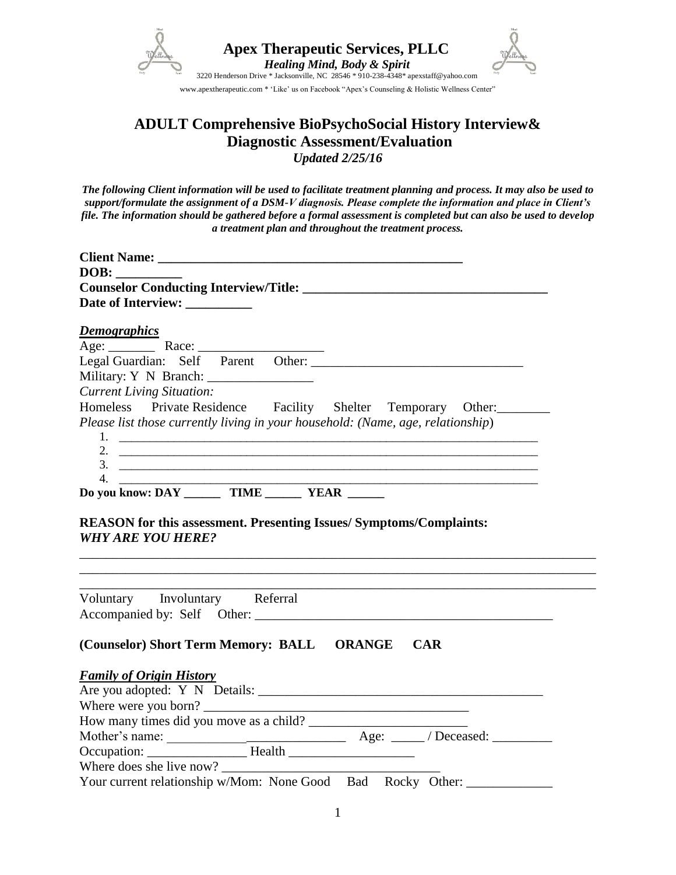

 **Apex Therapeutic Services, PLLC**  *Healing Mind, Body & Spirit*



www.apextherapeutic.com \* 'Like' us on Facebook "Apex's Counseling & Holistic Wellness Center"

# **ADULT Comprehensive BioPsychoSocial History Interview& Diagnostic Assessment/Evaluation** *Updated 2/25/16*

*The following Client information will be used to facilitate treatment planning and process. It may also be used to support/formulate the assignment of a DSM-V diagnosis. Please complete the information and place in Client's file. The information should be gathered before a formal assessment is completed but can also be used to develop a treatment plan and throughout the treatment process.*

| Date of Interview: _________                                                    |
|---------------------------------------------------------------------------------|
|                                                                                 |
| <u>Demographics</u>                                                             |
|                                                                                 |
|                                                                                 |
|                                                                                 |
| <b>Current Living Situation:</b>                                                |
| Homeless Private Residence Facility Shelter Temporary Other:                    |
| Please list those currently living in your household: (Name, age, relationship) |
|                                                                                 |
|                                                                                 |
| $3.$ $\overline{\phantom{a}}$                                                   |
|                                                                                 |
| Do you know: DAY ________ TIME _______ YEAR ______                              |
| <b>WHY ARE YOU HERE?</b>                                                        |
|                                                                                 |
| Voluntary Involuntary Referral                                                  |
|                                                                                 |
| (Counselor) Short Term Memory: BALL ORANGE CAR                                  |
|                                                                                 |
| <b>Family of Origin History</b>                                                 |
|                                                                                 |
|                                                                                 |
|                                                                                 |
|                                                                                 |
| Your current relationship w/Mom: None Good Bad Rocky Other:                     |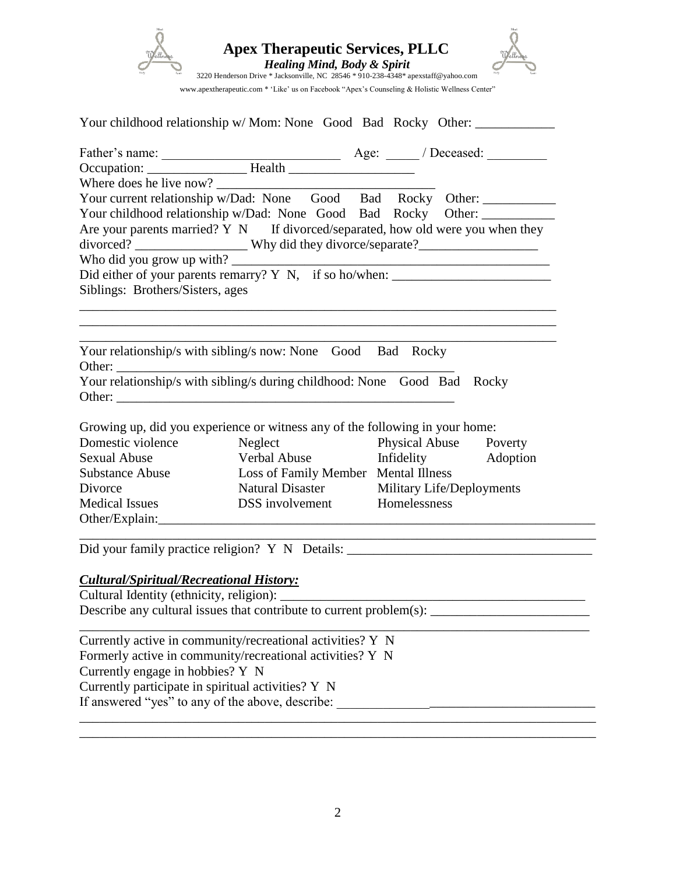

|                                                    |                                                                              | Your childhood relationship w/ Mom: None Good Bad Rocky Other:                                  |
|----------------------------------------------------|------------------------------------------------------------------------------|-------------------------------------------------------------------------------------------------|
|                                                    |                                                                              |                                                                                                 |
|                                                    |                                                                              |                                                                                                 |
|                                                    |                                                                              |                                                                                                 |
|                                                    |                                                                              | Your current relationship w/Dad: None Good Bad Rocky Other:                                     |
|                                                    |                                                                              | Your childhood relationship w/Dad: None Good Bad Rocky Other: ___________                       |
|                                                    |                                                                              | Are your parents married? $Y \ N$ If divorced/separated, how old were you when they             |
|                                                    |                                                                              |                                                                                                 |
|                                                    |                                                                              |                                                                                                 |
|                                                    |                                                                              | Who did you grow up with? $\frac{1}{2}$ Did either of your parents remarry? Y N, if so ho/when: |
| Siblings: Brothers/Sisters, ages                   |                                                                              |                                                                                                 |
|                                                    |                                                                              |                                                                                                 |
|                                                    |                                                                              |                                                                                                 |
|                                                    |                                                                              |                                                                                                 |
|                                                    | Your relationship/s with sibling/s now: None Good Bad Rocky                  |                                                                                                 |
|                                                    |                                                                              |                                                                                                 |
|                                                    | Your relationship/s with sibling/s during childhood: None Good Bad Rocky     |                                                                                                 |
|                                                    | Other:                                                                       |                                                                                                 |
|                                                    |                                                                              |                                                                                                 |
|                                                    | Growing up, did you experience or witness any of the following in your home: |                                                                                                 |
| Domestic violence                                  | Neglect                                                                      | Physical Abuse Poverty                                                                          |
| <b>Sexual Abuse</b>                                |                                                                              | Verbal Abuse Infidelity Adoption                                                                |
| <b>Substance Abuse</b>                             | Loss of Family Member Mental Illness                                         |                                                                                                 |
| Divorce                                            |                                                                              | Natural Disaster Military Life/Deployments                                                      |
| <b>Medical Issues</b>                              | DSS involvement Homelessness                                                 |                                                                                                 |
|                                                    |                                                                              |                                                                                                 |
|                                                    |                                                                              |                                                                                                 |
|                                                    |                                                                              | Did your family practice religion? Y N Details: _________________________________               |
|                                                    |                                                                              |                                                                                                 |
| <b>Cultural/Spiritual/Recreational History:</b>    |                                                                              |                                                                                                 |
|                                                    |                                                                              |                                                                                                 |
|                                                    | Describe any cultural issues that contribute to current problem(s):          |                                                                                                 |
|                                                    |                                                                              |                                                                                                 |
|                                                    | Currently active in community/recreational activities? Y N                   |                                                                                                 |
|                                                    | Formerly active in community/recreational activities? Y N                    |                                                                                                 |
| Currently engage in hobbies? Y N                   |                                                                              |                                                                                                 |
| Currently participate in spiritual activities? Y N |                                                                              |                                                                                                 |
|                                                    |                                                                              |                                                                                                 |

If answered "yes" to any of the above, describe: \_\_\_\_\_\_\_\_\_\_\_\_\_\_\_\_\_\_\_\_\_\_\_\_\_\_\_\_\_\_\_\_\_\_\_\_\_\_\_

\_\_\_\_\_\_\_\_\_\_\_\_\_\_\_\_\_\_\_\_\_\_\_\_\_\_\_\_\_\_\_\_\_\_\_\_\_\_\_\_\_\_\_\_\_\_\_\_\_\_\_\_\_\_\_\_\_\_\_\_\_\_\_\_\_\_\_\_\_\_\_\_\_\_\_\_\_\_ \_\_\_\_\_\_\_\_\_\_\_\_\_\_\_\_\_\_\_\_\_\_\_\_\_\_\_\_\_\_\_\_\_\_\_\_\_\_\_\_\_\_\_\_\_\_\_\_\_\_\_\_\_\_\_\_\_\_\_\_\_\_\_\_\_\_\_\_\_\_\_\_\_\_\_\_\_\_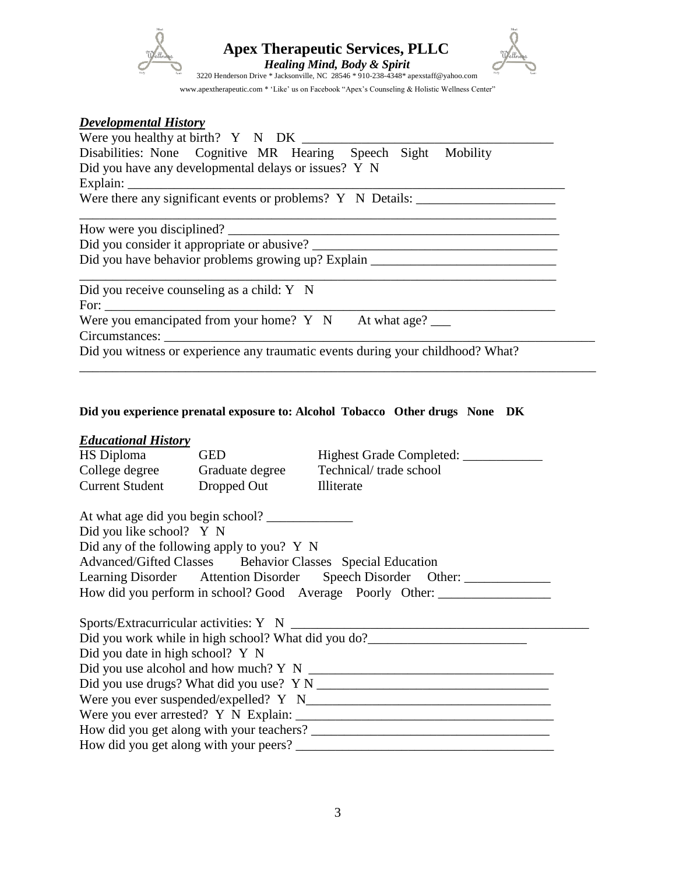

*Apex Therapeutic Services, PLLC* 



www.apextherapeutic.com \* 'Like' us on Facebook "Apex's Counseling & Holistic Wellness Center"

#### *Developmental History*

| Disabilities: None Cognitive MR Hearing Speech Sight Mobility                     |
|-----------------------------------------------------------------------------------|
| Did you have any developmental delays or issues? Y N                              |
| Explain:                                                                          |
| Were there any significant events or problems? Y N Details: _____________________ |
|                                                                                   |
|                                                                                   |
| Did you have behavior problems growing up? Explain _____________________________  |
| Did you receive counseling as a child: Y N                                        |
|                                                                                   |
| Were you emancipated from your home? $Y \ N$ At what age?                         |
|                                                                                   |
| Did you witness or experience any traumatic events during your childhood? What?   |

#### **Did you experience prenatal exposure to: Alcohol Tobacco Other drugs None DK**

#### *Educational History*

| HS Diploma                       | <b>GED</b>                                 |                                                                                   |  |
|----------------------------------|--------------------------------------------|-----------------------------------------------------------------------------------|--|
|                                  |                                            | College degree Graduate degree Technical/trade school                             |  |
|                                  | Current Student Dropped Out Illiterate     |                                                                                   |  |
|                                  | At what age did you begin school?          |                                                                                   |  |
| Did you like school? Y N         |                                            |                                                                                   |  |
|                                  | Did any of the following apply to you? Y N |                                                                                   |  |
|                                  |                                            | Advanced/Gifted Classes Behavior Classes Special Education                        |  |
|                                  |                                            | Learning Disorder Attention Disorder Speech Disorder Other:                       |  |
|                                  |                                            | How did you perform in school? Good Average Poorly Other: ______________________  |  |
|                                  |                                            |                                                                                   |  |
|                                  |                                            |                                                                                   |  |
|                                  |                                            | Did you work while in high school? What did you do?______________________________ |  |
| Did you date in high school? Y N |                                            |                                                                                   |  |
|                                  |                                            |                                                                                   |  |
|                                  |                                            |                                                                                   |  |
|                                  |                                            |                                                                                   |  |
|                                  |                                            |                                                                                   |  |
|                                  |                                            |                                                                                   |  |
|                                  |                                            |                                                                                   |  |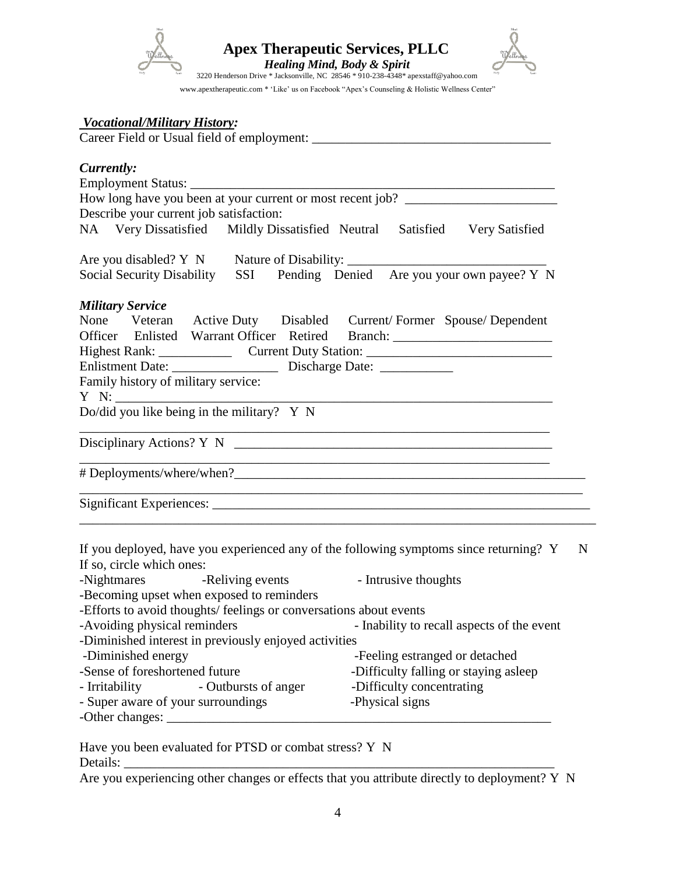

#### *Vocational/Military History:*

Career Field or Usual field of employment: \_\_\_\_\_\_\_\_\_\_\_\_\_\_\_\_\_\_\_\_\_\_\_\_\_\_\_\_\_\_\_\_\_\_\_\_

| Currently:                                                                       |
|----------------------------------------------------------------------------------|
|                                                                                  |
| How long have you been at your current or most recent job? _____________________ |
| Describe your current job satisfaction:                                          |
| NA Very Dissatisfied Mildly Dissatisfied Neutral Satisfied Very Satisfied        |
|                                                                                  |
| Social Security Disability SSI Pending Denied Are you your own payee? Y N        |
| <b>Military Service</b>                                                          |
| None Veteran Active Duty Disabled Current/Former Spouse/Dependent                |
| Officer Enlisted Warrant Officer Retired Branch: _______________________________ |
| Highest Rank: Current Duty Station: Current Duty Station:                        |
|                                                                                  |
| Family history of military service:                                              |
|                                                                                  |
| Do/did you like being in the military? Y N                                       |
| Disciplinary Actions? Y N                                                        |
|                                                                                  |
|                                                                                  |
|                                                                                  |

| If you deployed, have you experienced any of the following symptoms since returning? Y<br>N |                                                                    |                                       |  |  |
|---------------------------------------------------------------------------------------------|--------------------------------------------------------------------|---------------------------------------|--|--|
| If so, circle which ones:                                                                   |                                                                    |                                       |  |  |
| -Nightmares -Reliving events                                                                |                                                                    | - Intrusive thoughts                  |  |  |
|                                                                                             | -Becoming upset when exposed to reminders                          |                                       |  |  |
|                                                                                             | -Efforts to avoid thoughts/ feelings or conversations about events |                                       |  |  |
| -Avoiding physical reminders<br>- Inability to recall aspects of the event                  |                                                                    |                                       |  |  |
|                                                                                             | -Diminished interest in previously enjoyed activities              |                                       |  |  |
| -Diminished energy                                                                          |                                                                    | -Feeling estranged or detached        |  |  |
| -Sense of foreshortened future                                                              |                                                                    | -Difficulty falling or staying asleep |  |  |
| -Difficulty concentrating<br>- Irritability<br>- Outbursts of anger                         |                                                                    |                                       |  |  |
| - Super aware of your surroundings<br>-Physical signs                                       |                                                                    |                                       |  |  |
| -Other changes:                                                                             |                                                                    |                                       |  |  |

Have you been evaluated for PTSD or combat stress? Y N Details: \_\_\_\_\_\_\_\_\_\_\_\_\_\_\_\_\_\_\_\_\_\_\_\_\_\_\_\_\_\_\_\_\_\_\_\_\_\_\_\_\_\_\_\_\_\_\_\_\_\_\_\_\_\_\_\_\_\_\_\_\_\_\_\_\_

Are you experiencing other changes or effects that you attribute directly to deployment? Y N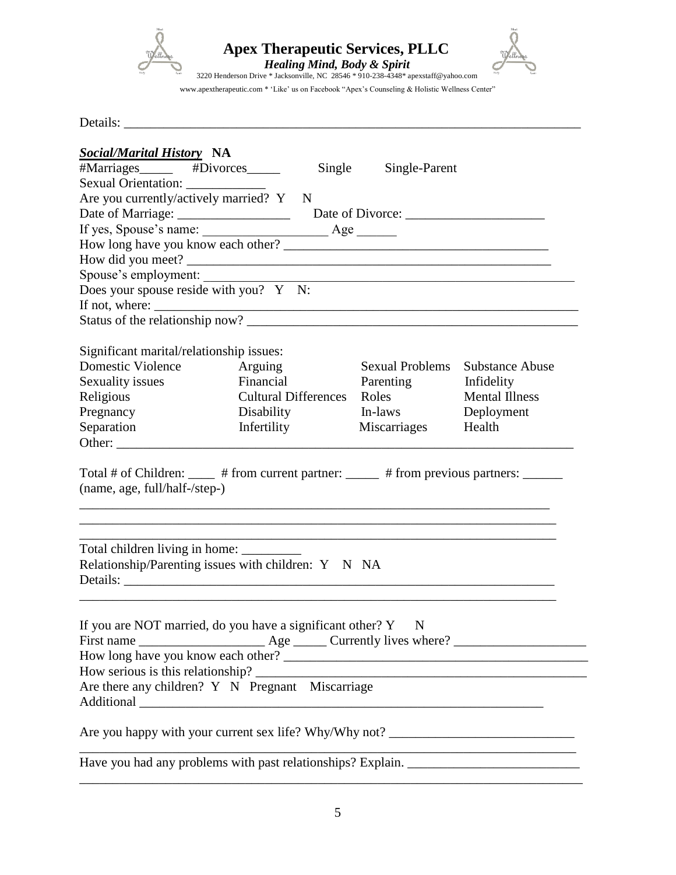

*Apex Therapeutic Services, PLLC* 



www.apextherapeutic.com \* 'Like' us on Facebook "Apex's Counseling & Holistic Wellness Center"

Details: \_\_\_\_\_\_\_\_\_\_\_\_\_\_\_\_\_\_\_\_\_\_\_\_\_\_\_\_\_\_\_\_\_\_\_\_\_\_\_\_\_\_\_\_\_\_\_\_\_\_\_\_\_\_\_\_\_\_\_\_\_\_\_\_\_\_\_\_\_

| <b>Social/Marital History NA</b>                                                                                           |                                                                                   |                         |                                                                                           |
|----------------------------------------------------------------------------------------------------------------------------|-----------------------------------------------------------------------------------|-------------------------|-------------------------------------------------------------------------------------------|
| #Marriages______ #Divorces_____                                                                                            |                                                                                   | Single<br>Single-Parent |                                                                                           |
| Sexual Orientation: ____________                                                                                           |                                                                                   |                         |                                                                                           |
| Are you currently/actively married? Y N                                                                                    |                                                                                   |                         |                                                                                           |
|                                                                                                                            |                                                                                   |                         |                                                                                           |
|                                                                                                                            |                                                                                   |                         |                                                                                           |
|                                                                                                                            |                                                                                   |                         |                                                                                           |
|                                                                                                                            |                                                                                   |                         |                                                                                           |
|                                                                                                                            |                                                                                   |                         |                                                                                           |
| Does your spouse reside with you? Y N:                                                                                     |                                                                                   |                         |                                                                                           |
|                                                                                                                            |                                                                                   |                         |                                                                                           |
|                                                                                                                            |                                                                                   |                         |                                                                                           |
| Significant marital/relationship issues:                                                                                   |                                                                                   |                         |                                                                                           |
| <b>Domestic Violence</b>                                                                                                   | Arguing                                                                           | <b>Sexual Problems</b>  | <b>Substance Abuse</b>                                                                    |
| Sexuality issues                                                                                                           | Financial                                                                         | Parenting               | Infidelity                                                                                |
| Religious                                                                                                                  | <b>Cultural Differences</b>                                                       | Roles                   | <b>Mental Illness</b>                                                                     |
| Pregnancy                                                                                                                  | <b>Disability</b>                                                                 | In-laws                 | Deployment                                                                                |
| Separation                                                                                                                 | Infertility                                                                       | Miscarriages            | Health                                                                                    |
|                                                                                                                            |                                                                                   |                         |                                                                                           |
| (name, age, full/half-/step-)<br>Relationship/Parenting issues with children: Y N NA                                       | ,我们也不能在这里的时候,我们也不能在这里的时候,我们也不能会在这里的时候,我们也不能会在这里的时候,我们也不能会在这里的时候,我们也不能会在这里的时候,我们也不 |                         |                                                                                           |
|                                                                                                                            |                                                                                   |                         |                                                                                           |
| If you are NOT married, do you have a significant other? $Y$ N<br>Are there any children? $Y \cong N$ Pregnant Miscarriage |                                                                                   |                         |                                                                                           |
|                                                                                                                            |                                                                                   |                         |                                                                                           |
|                                                                                                                            |                                                                                   |                         | the control of the control of the control of the control of the control of the control of |

\_\_\_\_\_\_\_\_\_\_\_\_\_\_\_\_\_\_\_\_\_\_\_\_\_\_\_\_\_\_\_\_\_\_\_\_\_\_\_\_\_\_\_\_\_\_\_\_\_\_\_\_\_\_\_\_\_\_\_\_\_\_\_\_\_\_\_\_\_\_\_\_\_\_\_\_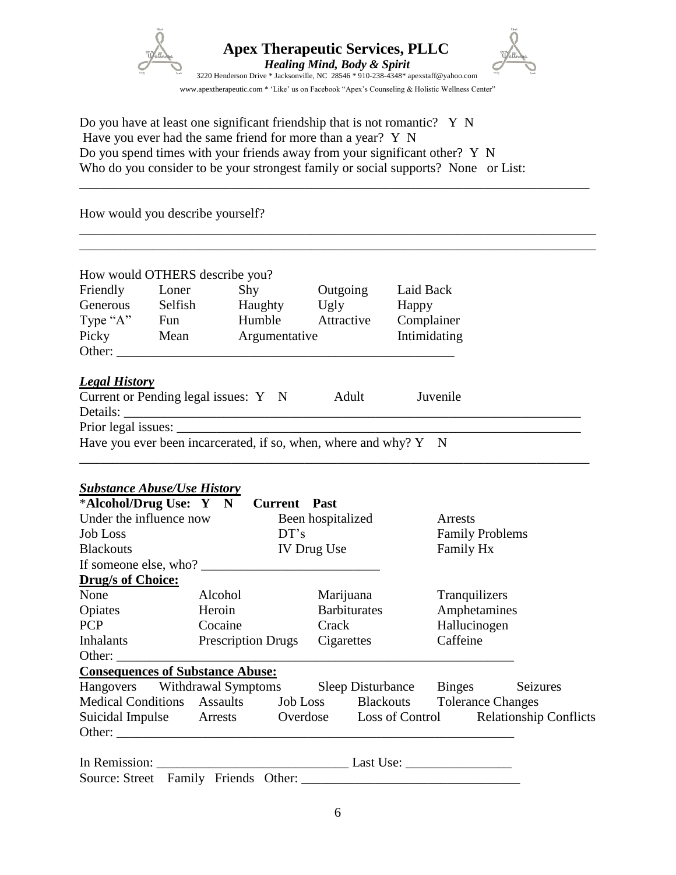

\_\_\_\_\_\_\_\_\_\_\_\_\_\_\_\_\_\_\_\_\_\_\_\_\_\_\_\_\_\_\_\_\_\_\_\_\_\_\_\_\_\_\_\_\_\_\_\_\_\_\_\_\_\_\_\_\_\_\_\_\_\_\_\_\_\_\_\_\_\_\_\_\_\_\_\_\_

\_\_\_\_\_\_\_\_\_\_\_\_\_\_\_\_\_\_\_\_\_\_\_\_\_\_\_\_\_\_\_\_\_\_\_\_\_\_\_\_\_\_\_\_\_\_\_\_\_\_\_\_\_\_\_\_\_\_\_\_\_\_\_\_\_\_\_\_\_\_\_\_\_\_\_\_\_\_ \_\_\_\_\_\_\_\_\_\_\_\_\_\_\_\_\_\_\_\_\_\_\_\_\_\_\_\_\_\_\_\_\_\_\_\_\_\_\_\_\_\_\_\_\_\_\_\_\_\_\_\_\_\_\_\_\_\_\_\_\_\_\_\_\_\_\_\_\_\_\_\_\_\_\_\_\_\_

Do you have at least one significant friendship that is not romantic? Y N Have you ever had the same friend for more than a year? Y N Do you spend times with your friends away from your significant other? Y N Who do you consider to be your strongest family or social supports? None or List:

How would you describe yourself?

| Friendly<br>Generous | Loner<br>Selfish | Shy<br>Haughty | Outgoing<br>Ugly | Laid Back<br>Happy |
|----------------------|------------------|----------------|------------------|--------------------|
| Type "A"             | Fun              | Humble         | Attractive       | Complainer         |
| Picky                | Mean             | Argumentative  |                  | Intimidating       |
| Other:               |                  |                |                  |                    |

\_\_\_\_\_\_\_\_\_\_\_\_\_\_\_\_\_\_\_\_\_\_\_\_\_\_\_\_\_\_\_\_\_\_\_\_\_\_\_\_\_\_\_\_\_\_\_\_\_\_\_\_\_\_\_\_\_\_\_\_\_\_\_\_\_\_\_\_\_\_\_\_\_\_\_\_\_

Details: Prior legal issues: Have you ever been incarcerated, if so, when, where and why?  $Y \quad N$ 

#### *Substance Abuse/Use History*

| *Alcohol/Drug Use: Y N Current Past                                      |                           |  |                   |                     |               |                        |          |
|--------------------------------------------------------------------------|---------------------------|--|-------------------|---------------------|---------------|------------------------|----------|
| Under the influence now                                                  |                           |  | Been hospitalized |                     | Arrests       |                        |          |
| <b>Job Loss</b>                                                          |                           |  | DT's              |                     |               | <b>Family Problems</b> |          |
| <b>Blackouts</b>                                                         |                           |  | IV Drug Use       |                     | Family Hx     |                        |          |
| If someone else, who?                                                    |                           |  |                   |                     |               |                        |          |
| <b>Drug/s of Choice:</b>                                                 |                           |  |                   |                     |               |                        |          |
| None                                                                     | Alcohol                   |  | Marijuana         |                     | Tranquilizers |                        |          |
| Opiates                                                                  | Heroin                    |  |                   | <b>Barbiturates</b> | Amphetamines  |                        |          |
| <b>PCP</b>                                                               | Cocaine                   |  | Crack             |                     | Hallucinogen  |                        |          |
| <b>Inhalants</b>                                                         | <b>Prescription Drugs</b> |  | Cigarettes        |                     | Caffeine      |                        |          |
| Other:                                                                   |                           |  |                   |                     |               |                        |          |
| <b>Consequences of Substance Abuse:</b>                                  |                           |  |                   |                     |               |                        |          |
| Hangovers Withdrawal Symptoms Sleep Disturbance Binges                   |                           |  |                   |                     |               |                        | Seizures |
| Medical Conditions Assaults Job Loss Blackouts Tolerance Changes         |                           |  |                   |                     |               |                        |          |
| Suicidal Impulse Arrests Overdose Loss of Control Relationship Conflicts |                           |  |                   |                     |               |                        |          |
|                                                                          |                           |  |                   |                     |               |                        |          |
|                                                                          |                           |  |                   |                     |               |                        |          |

Source: Street Family Friends Other: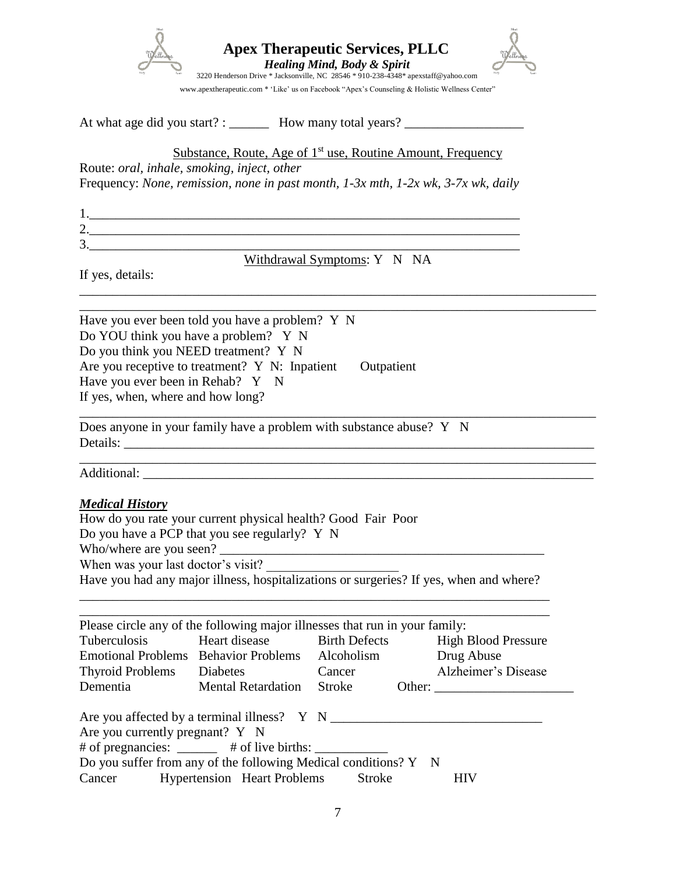

At what age did you start? : \_\_\_\_\_\_\_\_ How many total years? \_\_\_\_\_\_\_\_\_\_\_\_\_\_\_\_\_\_\_\_

Substance, Route, Age of  $1<sup>st</sup>$  use, Routine Amount, Frequency

Route: *oral, inhale, smoking, inject, other*

Frequency: *None, remission, none in past month, 1-3x mth, 1-2x wk, 3-7x wk, daily*

| 1.                              |  |
|---------------------------------|--|
| ⌒<br>۷.                         |  |
| ⌒<br>$\ddot{\phantom{1}}$<br>J. |  |

Withdrawal Symptoms: Y N NA

\_\_\_\_\_\_\_\_\_\_\_\_\_\_\_\_\_\_\_\_\_\_\_\_\_\_\_\_\_\_\_\_\_\_\_\_\_\_\_\_\_\_\_\_\_\_\_\_\_\_\_\_\_\_\_\_\_\_\_\_\_\_\_\_\_\_\_\_\_\_\_\_\_\_\_\_\_\_ \_\_\_\_\_\_\_\_\_\_\_\_\_\_\_\_\_\_\_\_\_\_\_\_\_\_\_\_\_\_\_\_\_\_\_\_\_\_\_\_\_\_\_\_\_\_\_\_\_\_\_\_\_\_\_\_\_\_\_\_\_\_\_\_\_\_\_\_\_\_\_\_\_\_\_\_\_\_

\_\_\_\_\_\_\_\_\_\_\_\_\_\_\_\_\_\_\_\_\_\_\_\_\_\_\_\_\_\_\_\_\_\_\_\_\_\_\_\_\_\_\_\_\_\_\_\_\_\_\_\_\_\_\_\_\_\_\_\_\_\_\_\_\_\_\_\_\_\_\_\_\_\_\_\_\_\_

If yes, details:

Have you ever been told you have a problem? Y N Do YOU think you have a problem? Y N Do you think you NEED treatment? Y N Are you receptive to treatment? Y N: Inpatient Outpatient Have you ever been in Rehab? Y N If yes, when, where and how long?

Does anyone in your family have a problem with substance abuse? Y N Details:

Additional: \_\_\_\_\_\_\_\_\_\_\_\_\_\_\_\_\_\_\_\_\_\_\_\_\_\_\_\_\_\_\_\_\_\_\_\_\_\_\_\_\_\_\_\_\_\_\_\_\_\_\_\_\_\_\_\_\_\_\_\_\_\_\_\_\_\_\_\_

### *Medical History*

How do you rate your current physical health? Good Fair Poor

Do you have a PCP that you see regularly? Y N

Who/where are you seen?

When was your last doctor's visit?

Have you had any major illness, hospitalizations or surgeries? If yes, when and where? \_\_\_\_\_\_\_\_\_\_\_\_\_\_\_\_\_\_\_\_\_\_\_\_\_\_\_\_\_\_\_\_\_\_\_\_\_\_\_\_\_\_\_\_\_\_\_\_\_\_\_\_\_\_\_\_\_\_\_\_\_\_\_\_\_\_\_\_\_\_\_

|                                 | Please circle any of the following major illnesses that run in your family:                                                                                                                                           |        |                            |
|---------------------------------|-----------------------------------------------------------------------------------------------------------------------------------------------------------------------------------------------------------------------|--------|----------------------------|
| Tuberculosis                    | Heart disease Birth Defects                                                                                                                                                                                           |        | <b>High Blood Pressure</b> |
|                                 | Emotional Problems Behavior Problems Alcoholism                                                                                                                                                                       |        | Drug Abuse                 |
| Thyroid Problems Diabetes       |                                                                                                                                                                                                                       | Cancer | Alzheimer's Disease        |
| Dementia                        | <b>Mental Retardation</b>                                                                                                                                                                                             | Stroke |                            |
| Are you currently pregnant? Y N | Are you affected by a terminal illness? Y N<br># of pregnancies: ______ # of live births: ___________<br>Do you suffer from any of the following Medical conditions? Y N<br>Cancer Hypertension Heart Problems Stroke |        | <b>HIV</b>                 |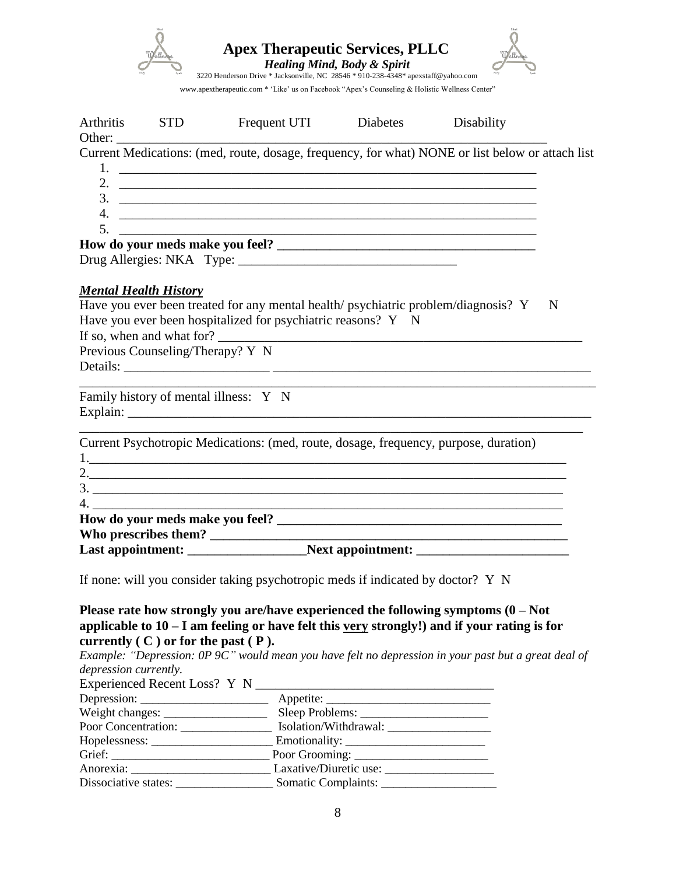| <b>Rob</b> | <b>Apex Therapeutic Services, PLLC</b><br><b>Healing Mind, Body &amp; Spirit</b><br>3220 Henderson Drive * Jacksonville, NC 28546 * 910-238-4348 * apexstaff@yahoo.com | <b>Body</b> |
|------------|------------------------------------------------------------------------------------------------------------------------------------------------------------------------|-------------|
|            | www.apextherapeutic.com * 'Like' us on Facebook "Apex's Counseling & Holistic Wellness Center"                                                                         |             |

| Arthritis | <b>STD</b>                       | Frequent UTI Diabetes                                                                                                                                                                | Disability |   |
|-----------|----------------------------------|--------------------------------------------------------------------------------------------------------------------------------------------------------------------------------------|------------|---|
|           |                                  |                                                                                                                                                                                      |            |   |
|           |                                  | Current Medications: (med, route, dosage, frequency, for what) NONE or list below or attach list                                                                                     |            |   |
|           |                                  |                                                                                                                                                                                      |            |   |
|           |                                  | 2. $\overline{\phantom{a}}$                                                                                                                                                          |            |   |
|           |                                  | $3.$ $\overline{\phantom{a}}$                                                                                                                                                        |            |   |
| 5.        |                                  | 4.                                                                                                                                                                                   |            |   |
|           |                                  | <u> 1980 - Jan Berlin, margaret amerikan bestean di sebagai personal di sebagai personal di sebagai personal di s</u>                                                                |            |   |
|           |                                  |                                                                                                                                                                                      |            |   |
|           |                                  |                                                                                                                                                                                      |            |   |
|           | <b>Mental Health History</b>     |                                                                                                                                                                                      |            |   |
|           |                                  | Have you ever been treated for any mental health/psychiatric problem/diagnosis? Y                                                                                                    |            | N |
|           |                                  | Have you ever been hospitalized for psychiatric reasons? Y N                                                                                                                         |            |   |
|           |                                  | If so, when and what for?                                                                                                                                                            |            |   |
|           | Previous Counseling/Therapy? Y N |                                                                                                                                                                                      |            |   |
|           |                                  |                                                                                                                                                                                      |            |   |
|           |                                  |                                                                                                                                                                                      |            |   |
|           |                                  | Family history of mental illness: Y N                                                                                                                                                |            |   |
|           |                                  |                                                                                                                                                                                      |            |   |
|           |                                  |                                                                                                                                                                                      |            |   |
|           |                                  | Current Psychotropic Medications: (med, route, dosage, frequency, purpose, duration)                                                                                                 |            |   |
|           |                                  |                                                                                                                                                                                      |            |   |
|           |                                  |                                                                                                                                                                                      |            |   |
|           |                                  | $\frac{3}{2}$                                                                                                                                                                        |            |   |
|           |                                  | $4. \_$                                                                                                                                                                              |            |   |
|           |                                  |                                                                                                                                                                                      |            |   |
|           |                                  |                                                                                                                                                                                      |            |   |
|           |                                  |                                                                                                                                                                                      |            |   |
|           |                                  | If none: will you consider taking psychotropic meds if indicated by doctor? Y N                                                                                                      |            |   |
|           |                                  | Please rate how strongly you are/have experienced the following symptoms $(0 - Not$<br>applicable to $10 - I$ am feeling or have felt this very strongly!) and if your rating is for |            |   |

# **currently ( C ) or for the past ( P ).**

*Example: "Depression: 0P 9C" would mean you have felt no depression in your past but a great deal of depression currently.*

| Sleep Problems:                           |
|-------------------------------------------|
| Poor Concentration: Isolation/Withdrawal: |
|                                           |
|                                           |
| Anorexia: Laxative/Diuretic use:          |
|                                           |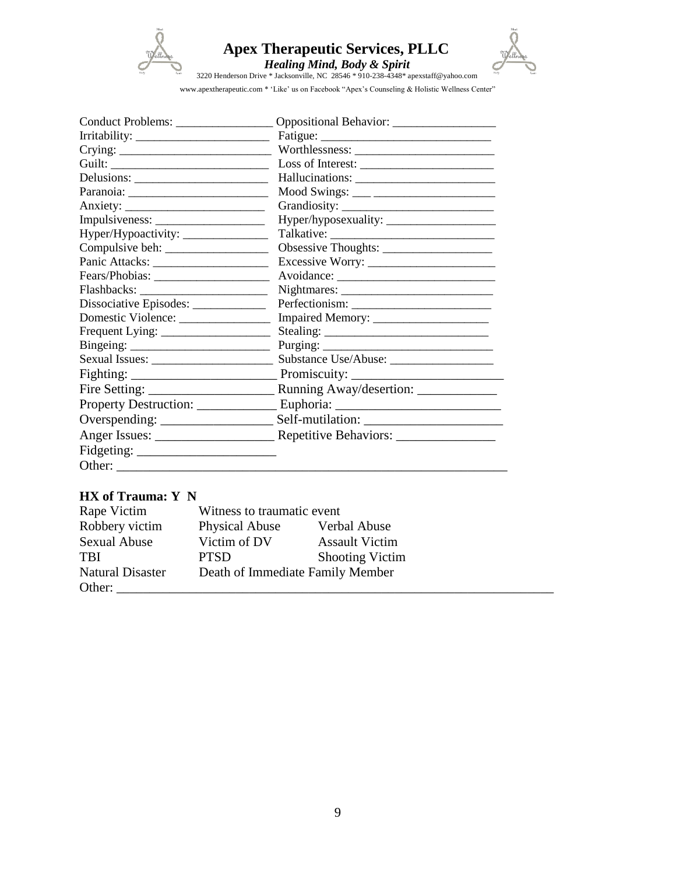

# *Apex Therapeutic Services, PLLC*



*Healing Mind, Body & Spirit*<br>
3220 Henderson Drive \* Jacksonville, NC 28546 \* 910-238-4348\* apexstaff@yahoo.com

www.apextherapeutic.com \* 'Like' us on Facebook "Apex's Counseling & Holistic Wellness Center"

| Hyper/Hypoactivity: ________________  |  |
|---------------------------------------|--|
|                                       |  |
|                                       |  |
|                                       |  |
|                                       |  |
| Dissociative Episodes: ______________ |  |
| Domestic Violence:                    |  |
|                                       |  |
|                                       |  |
|                                       |  |
|                                       |  |
|                                       |  |
|                                       |  |
|                                       |  |
|                                       |  |
|                                       |  |
| Other:                                |  |

# **HX of Trauma: Y N**

| Rape Victim             | Witness to traumatic event |                                  |  |  |
|-------------------------|----------------------------|----------------------------------|--|--|
| Robbery victim          | <b>Physical Abuse</b>      | Verbal Abuse                     |  |  |
| <b>Sexual Abuse</b>     | Victim of DV               | <b>Assault Victim</b>            |  |  |
| <b>TBI</b>              | <b>PTSD</b>                | <b>Shooting Victim</b>           |  |  |
| <b>Natural Disaster</b> |                            | Death of Immediate Family Member |  |  |
| Other:                  |                            |                                  |  |  |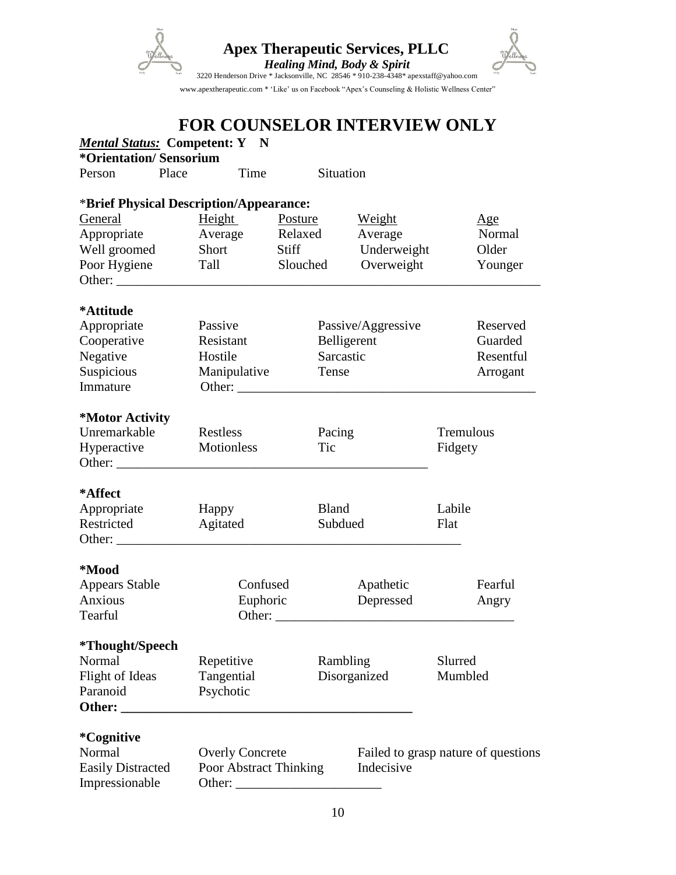

# **FOR COUNSELOR INTERVIEW ONLY**

| <b>Mental Status: Competent: Y N</b><br>*Orientation/Sensorium |       |                                         |                        |              |                                     |           |           |
|----------------------------------------------------------------|-------|-----------------------------------------|------------------------|--------------|-------------------------------------|-----------|-----------|
| Person                                                         | Place | Time                                    |                        | Situation    |                                     |           |           |
|                                                                |       | *Brief Physical Description/Appearance: |                        |              |                                     |           |           |
| General                                                        |       | <b>Height</b>                           | Posture                |              | Weight                              |           | Age       |
| Appropriate                                                    |       | Average                                 | Relaxed                |              | Average                             |           | Normal    |
| Well groomed                                                   |       | Short                                   | Stiff                  |              | Underweight                         |           | Older     |
| Poor Hygiene                                                   |       | Tall                                    | Slouched               |              | Overweight                          |           | Younger   |
|                                                                |       |                                         |                        |              |                                     |           |           |
| *Attitude                                                      |       |                                         |                        |              |                                     |           |           |
| Appropriate                                                    |       | Passive                                 |                        |              | Passive/Aggressive                  |           | Reserved  |
| Cooperative                                                    |       | Resistant                               |                        | Belligerent  |                                     |           | Guarded   |
| Negative                                                       |       | Hostile                                 |                        | Sarcastic    |                                     |           | Resentful |
| Suspicious                                                     |       | Manipulative                            |                        | Tense        |                                     |           | Arrogant  |
| Immature                                                       |       |                                         |                        |              |                                     |           |           |
| *Motor Activity                                                |       |                                         |                        |              |                                     |           |           |
| Unremarkable                                                   |       | Restless                                |                        | Pacing       |                                     | Tremulous |           |
| Hyperactive                                                    |       | Motionless                              |                        | Tic          |                                     | Fidgety   |           |
| Other:                                                         |       |                                         |                        |              |                                     |           |           |
| *Affect                                                        |       |                                         |                        |              |                                     |           |           |
| Appropriate                                                    |       | Happy                                   |                        | <b>Bland</b> |                                     | Labile    |           |
| Restricted                                                     |       | Agitated                                |                        | Subdued      |                                     | Flat      |           |
|                                                                |       |                                         |                        |              |                                     |           |           |
| *Mood                                                          |       |                                         |                        |              |                                     |           |           |
| <b>Appears Stable</b>                                          |       | Confused                                |                        |              | Apathetic                           |           | Fearful   |
| <b>Anxious</b>                                                 |       | Euphoric                                |                        |              | Depressed                           |           | Angry     |
| Tearful                                                        |       |                                         | Other: $\qquad \qquad$ |              |                                     |           |           |
| *Thought/Speech                                                |       |                                         |                        |              |                                     |           |           |
| Normal                                                         |       | Repetitive                              |                        | Rambling     |                                     | Slurred   |           |
| Flight of Ideas                                                |       | Tangential                              |                        |              | Disorganized                        | Mumbled   |           |
| Paranoid<br>Other:                                             |       | Psychotic                               |                        |              |                                     |           |           |
| *Cognitive                                                     |       |                                         |                        |              |                                     |           |           |
| Normal                                                         |       | <b>Overly Concrete</b>                  |                        |              | Failed to grasp nature of questions |           |           |
| <b>Easily Distracted</b>                                       |       | Poor Abstract Thinking                  |                        |              | Indecisive                          |           |           |
| Impressionable                                                 |       | Other:                                  |                        |              |                                     |           |           |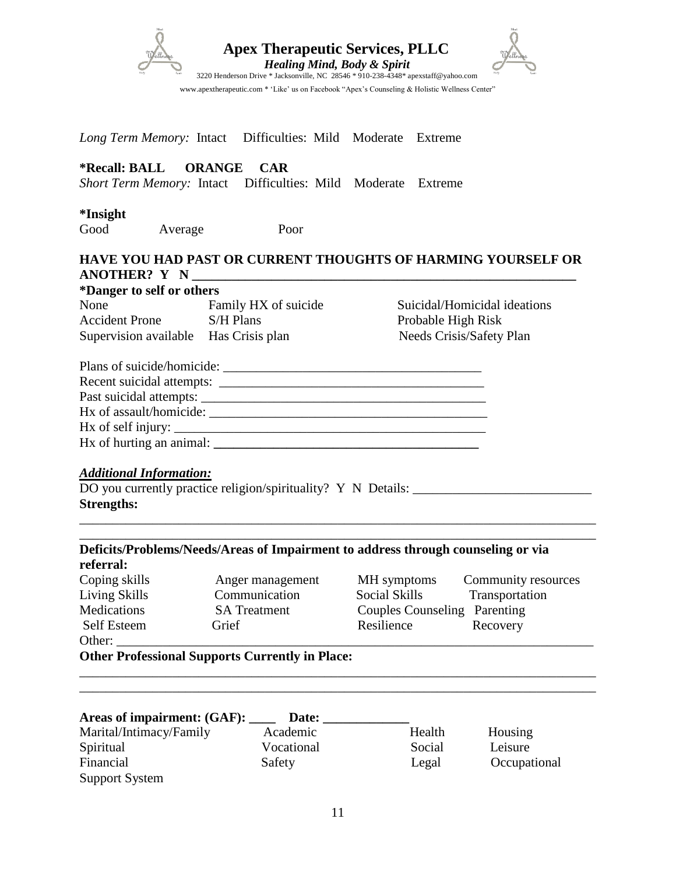|                                                     | <b>Apex Therapeutic Services, PLLC</b><br><b>Healing Mind, Body &amp; Spirit</b><br>3220 Henderson Drive * Jacksonville, NC 28546 * 910-238-4348* apexstaff@yahoo.com<br>www.apextherapeutic.com * 'Like' us on Facebook "Apex's Counseling & Holistic Wellness Center" |                                     |                                        |                              |  |
|-----------------------------------------------------|-------------------------------------------------------------------------------------------------------------------------------------------------------------------------------------------------------------------------------------------------------------------------|-------------------------------------|----------------------------------------|------------------------------|--|
|                                                     |                                                                                                                                                                                                                                                                         |                                     |                                        |                              |  |
|                                                     | Long Term Memory: Intact Difficulties: Mild Moderate Extreme                                                                                                                                                                                                            |                                     |                                        |                              |  |
| <b>*Recall: BALL</b>                                | ORANGE<br><b>CAR</b><br>Short Term Memory: Intact Difficulties: Mild Moderate Extreme                                                                                                                                                                                   |                                     |                                        |                              |  |
| <i><b>*Insight</b></i><br>Good<br>Average           | Poor                                                                                                                                                                                                                                                                    |                                     |                                        |                              |  |
|                                                     | <b>HAVE YOU HAD PAST OR CURRENT THOUGHTS OF HARMING YOURSELF OR</b>                                                                                                                                                                                                     |                                     |                                        |                              |  |
| *Danger to self or others                           |                                                                                                                                                                                                                                                                         |                                     |                                        |                              |  |
| None                                                | Family HX of suicide                                                                                                                                                                                                                                                    |                                     |                                        | Suicidal/Homicidal ideations |  |
| Accident Prone S/H Plans                            |                                                                                                                                                                                                                                                                         |                                     | Probable High Risk                     |                              |  |
| Supervision available Has Crisis plan               |                                                                                                                                                                                                                                                                         |                                     | Needs Crisis/Safety Plan               |                              |  |
|                                                     |                                                                                                                                                                                                                                                                         |                                     |                                        |                              |  |
|                                                     |                                                                                                                                                                                                                                                                         |                                     |                                        |                              |  |
|                                                     |                                                                                                                                                                                                                                                                         |                                     |                                        |                              |  |
|                                                     |                                                                                                                                                                                                                                                                         |                                     |                                        |                              |  |
| <b>Additional Information:</b><br><b>Strengths:</b> | DO you currently practice religion/spirituality? Y N Details: __________________                                                                                                                                                                                        |                                     |                                        |                              |  |
| referral:                                           | Deficits/Problems/Needs/Areas of Impairment to address through counseling or via                                                                                                                                                                                        |                                     |                                        |                              |  |
| Coping skills                                       | Anger management                                                                                                                                                                                                                                                        | MH symptoms                         |                                        | Community resources          |  |
| Living Skills                                       | Communication                                                                                                                                                                                                                                                           |                                     | <b>Social Skills</b><br>Transportation |                              |  |
| Medications                                         | <b>SA</b> Treatment                                                                                                                                                                                                                                                     | <b>Couples Counseling Parenting</b> |                                        |                              |  |
| Self Esteem                                         | Grief                                                                                                                                                                                                                                                                   | Resilience<br>Recovery              |                                        |                              |  |
| Other: $\overline{\phantom{a}}$                     |                                                                                                                                                                                                                                                                         |                                     |                                        |                              |  |
|                                                     | <b>Other Professional Supports Currently in Place:</b>                                                                                                                                                                                                                  |                                     |                                        |                              |  |
|                                                     |                                                                                                                                                                                                                                                                         |                                     |                                        |                              |  |
|                                                     | Areas of impairment: (GAF): _____ Date: _________                                                                                                                                                                                                                       |                                     |                                        |                              |  |
| Marital/Intimacy/Family                             | Academic                                                                                                                                                                                                                                                                |                                     | Health                                 | Housing                      |  |
| Spiritual                                           | Vocational                                                                                                                                                                                                                                                              |                                     | Social                                 | Leisure                      |  |
| Financial                                           | Safety                                                                                                                                                                                                                                                                  |                                     | Legal                                  | Occupational                 |  |
| <b>Support System</b>                               |                                                                                                                                                                                                                                                                         |                                     |                                        |                              |  |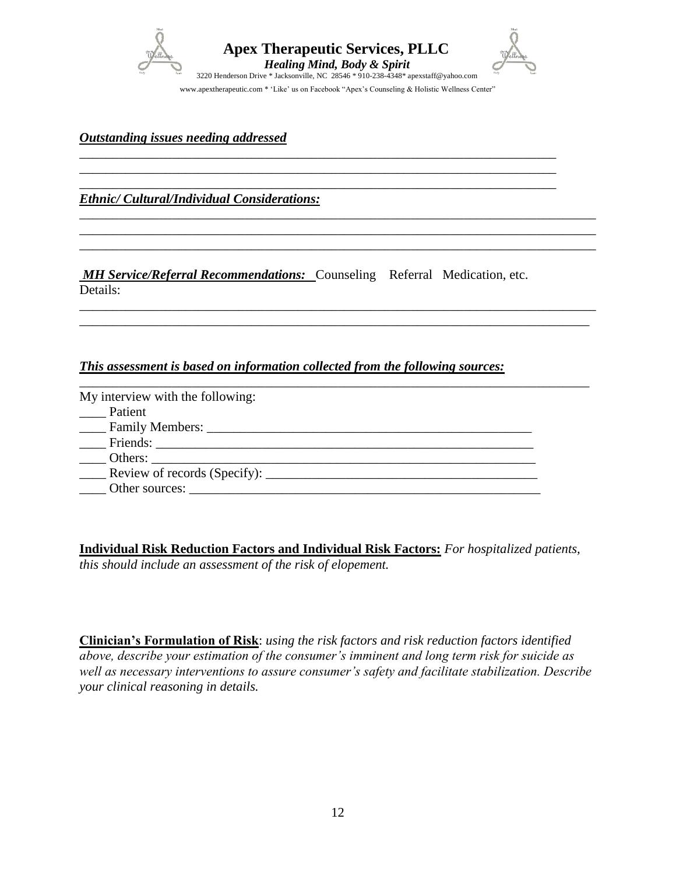

\_\_\_\_\_\_\_\_\_\_\_\_\_\_\_\_\_\_\_\_\_\_\_\_\_\_\_\_\_\_\_\_\_\_\_\_\_\_\_\_\_\_\_\_\_\_\_\_\_\_\_\_\_\_\_\_\_\_\_\_\_\_\_\_\_\_\_\_\_\_\_\_ \_\_\_\_\_\_\_\_\_\_\_\_\_\_\_\_\_\_\_\_\_\_\_\_\_\_\_\_\_\_\_\_\_\_\_\_\_\_\_\_\_\_\_\_\_\_\_\_\_\_\_\_\_\_\_\_\_\_\_\_\_\_\_\_\_\_\_\_\_\_\_\_ \_\_\_\_\_\_\_\_\_\_\_\_\_\_\_\_\_\_\_\_\_\_\_\_\_\_\_\_\_\_\_\_\_\_\_\_\_\_\_\_\_\_\_\_\_\_\_\_\_\_\_\_\_\_\_\_\_\_\_\_\_\_\_\_\_\_\_\_\_\_\_\_

\_\_\_\_\_\_\_\_\_\_\_\_\_\_\_\_\_\_\_\_\_\_\_\_\_\_\_\_\_\_\_\_\_\_\_\_\_\_\_\_\_\_\_\_\_\_\_\_\_\_\_\_\_\_\_\_\_\_\_\_\_\_\_\_\_\_\_\_\_\_\_\_\_\_\_\_\_\_ \_\_\_\_\_\_\_\_\_\_\_\_\_\_\_\_\_\_\_\_\_\_\_\_\_\_\_\_\_\_\_\_\_\_\_\_\_\_\_\_\_\_\_\_\_\_\_\_\_\_\_\_\_\_\_\_\_\_\_\_\_\_\_\_\_\_\_\_\_\_\_\_\_\_\_\_\_\_ \_\_\_\_\_\_\_\_\_\_\_\_\_\_\_\_\_\_\_\_\_\_\_\_\_\_\_\_\_\_\_\_\_\_\_\_\_\_\_\_\_\_\_\_\_\_\_\_\_\_\_\_\_\_\_\_\_\_\_\_\_\_\_\_\_\_\_\_\_\_\_\_\_\_\_\_\_\_

\_\_\_\_\_\_\_\_\_\_\_\_\_\_\_\_\_\_\_\_\_\_\_\_\_\_\_\_\_\_\_\_\_\_\_\_\_\_\_\_\_\_\_\_\_\_\_\_\_\_\_\_\_\_\_\_\_\_\_\_\_\_\_\_\_\_\_\_\_\_\_\_\_\_\_\_\_\_ \_\_\_\_\_\_\_\_\_\_\_\_\_\_\_\_\_\_\_\_\_\_\_\_\_\_\_\_\_\_\_\_\_\_\_\_\_\_\_\_\_\_\_\_\_\_\_\_\_\_\_\_\_\_\_\_\_\_\_\_\_\_\_\_\_\_\_\_\_\_\_\_\_\_\_\_\_

*Outstanding issues needing addressed* 

*Ethnic/ Cultural/Individual Considerations:*

*MH Service/Referral Recommendations:* Counseling Referral Medication, etc. Details:

#### *This assessment is based on information collected from the following sources:*

| My interview with the following: |  |
|----------------------------------|--|
| Patient                          |  |
|                                  |  |
|                                  |  |
|                                  |  |
|                                  |  |
| Other sources:                   |  |

**Individual Risk Reduction Factors and Individual Risk Factors:** *For hospitalized patients, this should include an assessment of the risk of elopement.*

**Clinician's Formulation of Risk**: *using the risk factors and risk reduction factors identified above, describe your estimation of the consumer's imminent and long term risk for suicide as well as necessary interventions to assure consumer's safety and facilitate stabilization. Describe your clinical reasoning in details.*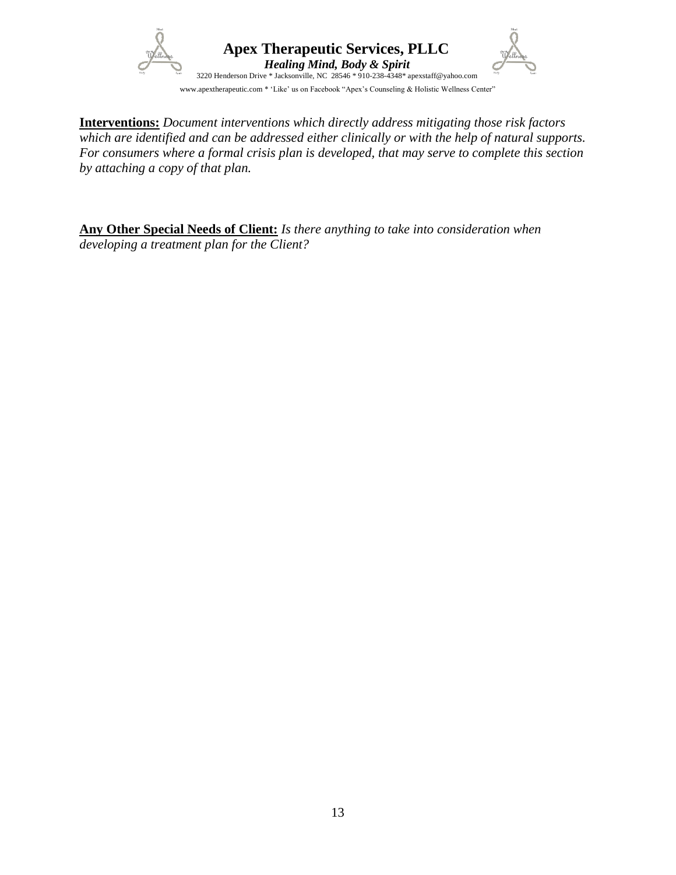

**Interventions:** *Document interventions which directly address mitigating those risk factors which are identified and can be addressed either clinically or with the help of natural supports. For consumers where a formal crisis plan is developed, that may serve to complete this section by attaching a copy of that plan.*

**Any Other Special Needs of Client:** *Is there anything to take into consideration when developing a treatment plan for the Client?*